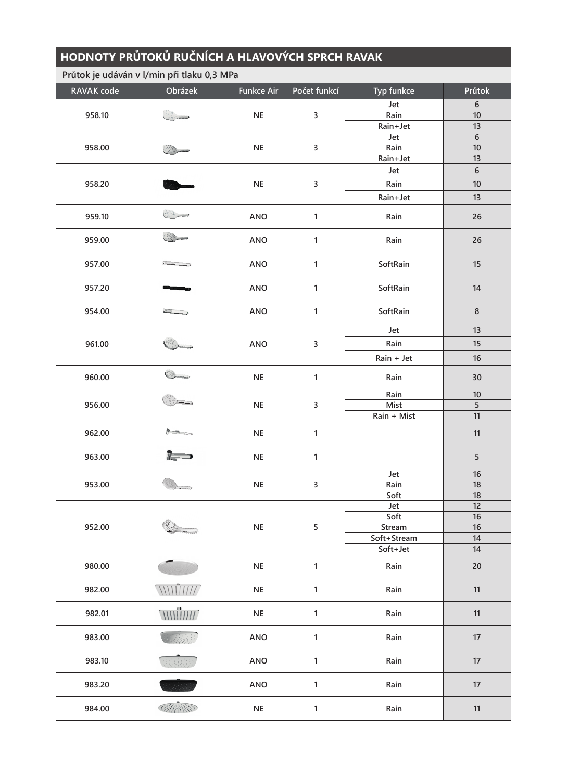| HODNOTY PRŮTOKŮ RUČNÍCH A HLAVOVÝCH SPRCH RAVAK<br>Průtok je udáván v l/min při tlaku 0,3 MPa |                   |            |                |             |                  |  |  |  |  |
|-----------------------------------------------------------------------------------------------|-------------------|------------|----------------|-------------|------------------|--|--|--|--|
|                                                                                               |                   |            |                |             |                  |  |  |  |  |
| 958.10                                                                                        |                   | <b>NE</b>  |                | Jet         | $\boldsymbol{6}$ |  |  |  |  |
|                                                                                               |                   |            | 3              | Rain        | 10               |  |  |  |  |
|                                                                                               |                   |            |                | Rain+Jet    | 13               |  |  |  |  |
| 958.00                                                                                        |                   | <b>NE</b>  | 3              | Jet         | $\boldsymbol{6}$ |  |  |  |  |
|                                                                                               |                   |            |                | Rain        | 10               |  |  |  |  |
|                                                                                               |                   |            |                | Rain+Jet    | 13               |  |  |  |  |
| 958.20                                                                                        |                   | <b>NE</b>  | $\overline{3}$ | Jet         | $6\phantom{a}$   |  |  |  |  |
|                                                                                               |                   |            |                | Rain        | 10               |  |  |  |  |
|                                                                                               |                   |            |                |             |                  |  |  |  |  |
|                                                                                               |                   |            |                | Rain+Jet    | 13               |  |  |  |  |
| 959.10                                                                                        |                   | <b>ANO</b> | $\mathbf{1}$   | Rain        | 26               |  |  |  |  |
| 959.00                                                                                        |                   | <b>ANO</b> | $\mathbf{1}$   | Rain        | 26               |  |  |  |  |
| 957.00                                                                                        |                   | ANO        | 1              | SoftRain    | 15               |  |  |  |  |
| 957.20                                                                                        |                   | <b>ANO</b> | $\mathbf{1}$   | SoftRain    | 14               |  |  |  |  |
| 954.00                                                                                        | <b>THING</b>      | <b>ANO</b> | $\mathbf{1}$   | SoftRain    | $\bf 8$          |  |  |  |  |
|                                                                                               |                   |            | 3              | Jet         | 13               |  |  |  |  |
| 961.00                                                                                        |                   | <b>ANO</b> |                | Rain        | 15               |  |  |  |  |
|                                                                                               |                   |            |                | Rain + Jet  | 16               |  |  |  |  |
| 960.00                                                                                        |                   | $\sf NE$   | $\mathbf{1}$   | Rain        | 30               |  |  |  |  |
| 956.00                                                                                        |                   |            | 3              | Rain        | 10               |  |  |  |  |
|                                                                                               |                   | <b>NE</b>  |                | <b>Mist</b> | $\overline{5}$   |  |  |  |  |
|                                                                                               |                   |            |                | Rain + Mist | 11               |  |  |  |  |
|                                                                                               |                   |            |                |             |                  |  |  |  |  |
| 962.00                                                                                        | $P - 2$           | $\sf NE$   | $\mathbf{1}$   |             | 11               |  |  |  |  |
| 963.00                                                                                        | $\mathbb{R}$      | <b>NE</b>  | 1              |             | 5                |  |  |  |  |
|                                                                                               |                   | <b>NE</b>  | $\overline{3}$ | Jet         | 16               |  |  |  |  |
| 953.00                                                                                        |                   |            |                | Rain        | 18               |  |  |  |  |
|                                                                                               |                   |            |                | Soft        | 18               |  |  |  |  |
| 952.00                                                                                        |                   | <b>NE</b>  | 5              | Jet         | 12               |  |  |  |  |
|                                                                                               |                   |            |                | Soft        | 16               |  |  |  |  |
|                                                                                               |                   |            |                | Stream      | 16               |  |  |  |  |
|                                                                                               |                   |            |                | Soft+Stream | 14               |  |  |  |  |
|                                                                                               |                   |            |                | Soft+Jet    | 14               |  |  |  |  |
| 980.00                                                                                        |                   | <b>NE</b>  | $\mathbf{1}$   | Rain        | 20               |  |  |  |  |
| 982.00                                                                                        | WINDIN            | <b>NE</b>  | $\mathbf{1}$   | Rain        | 11               |  |  |  |  |
| 982.01                                                                                        | WWW               | <b>NE</b>  | $\mathbf{1}$   | Rain        | 11               |  |  |  |  |
| 983.00                                                                                        |                   | <b>ANO</b> | $\mathbf{1}$   | Rain        | 17               |  |  |  |  |
| 983.10                                                                                        |                   | ANO        | $\mathbf{1}$   | Rain        | 17               |  |  |  |  |
| 983.20                                                                                        |                   | ANO        | 1              | Rain        | 17               |  |  |  |  |
| 984.00                                                                                        | <b>CONTROLLED</b> | $\sf NE$   | $\mathbf{1}$   | Rain        | 11               |  |  |  |  |